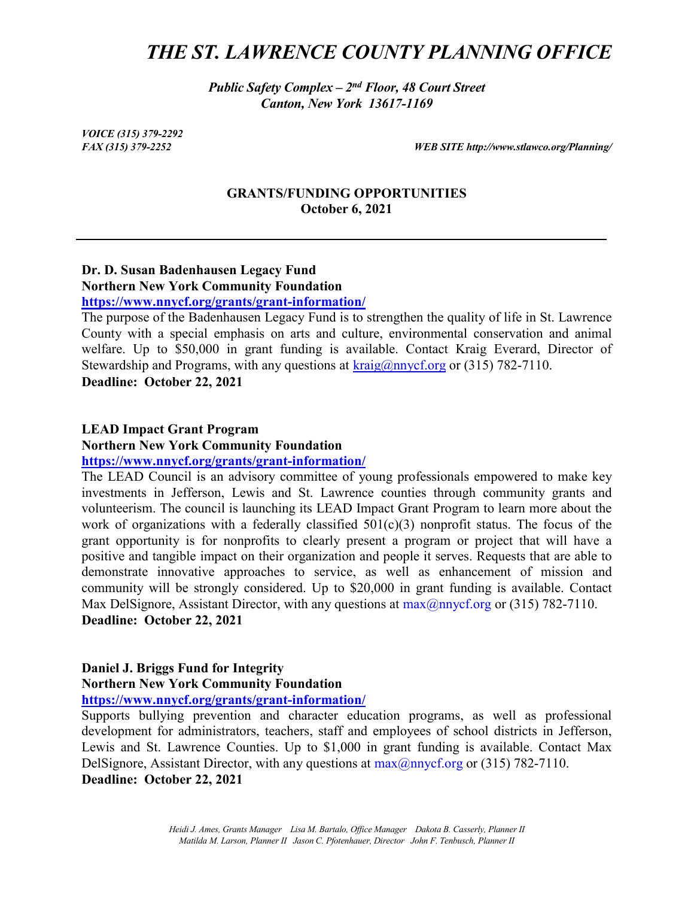## *THE ST. LAWRENCE COUNTY PLANNING OFFICE*

*Public Safety Complex – 2nd Floor, 48 Court Street Canton, New York 13617-1169*

*VOICE (315) 379-2292*

*FAX (315) 379-2252 WEB SITE http://www.stlawco.org/Planning/*

### **GRANTS/FUNDING OPPORTUNITIES October 6, 2021**

### **Dr. D. Susan Badenhausen Legacy Fund Northern New York Community Foundation <https://www.nnycf.org/grants/grant-information/>**

The purpose of the Badenhausen Legacy Fund is to strengthen the quality of life in St. Lawrence County with a special emphasis on arts and culture, environmental conservation and animal welfare. Up to \$50,000 in grant funding is available. Contact Kraig Everard, Director of Stewardship and Programs, with any questions at  $\frac{\text{krajg}(a) \text{mvcf.org}}{\text{cmg}}$  or (315) 782-7110. **Deadline: October 22, 2021**

### **LEAD Impact Grant Program**

**Northern New York Community Foundation**

**<https://www.nnycf.org/grants/grant-information/>**

The LEAD Council is an advisory committee of young professionals empowered to make key investments in Jefferson, Lewis and St. Lawrence counties through community grants and volunteerism. The council is launching its LEAD Impact Grant Program to learn more about the work of organizations with a federally classified  $501(c)(3)$  nonprofit status. The focus of the grant opportunity is for nonprofits to clearly present a program or project that will have a positive and tangible impact on their organization and people it serves. Requests that are able to demonstrate innovative approaches to service, as well as enhancement of mission and community will be strongly considered. Up to \$20,000 in grant funding is available. Contact Max DelSignore, Assistant Director, with any questions at  $max(2n)$  mycf.org or (315) 782-7110. **Deadline: October 22, 2021**

## **Daniel J. Briggs Fund for Integrity Northern New York Community Foundation**

**<https://www.nnycf.org/grants/grant-information/>**

Supports bullying prevention and character education programs, as well as professional development for administrators, teachers, staff and employees of school districts in Jefferson, Lewis and St. Lawrence Counties. Up to \$1,000 in grant funding is available. Contact Max DelSignore, Assistant Director, with any questions at  $max(\partial n)$  mycf.org or (315) 782-7110. **Deadline: October 22, 2021**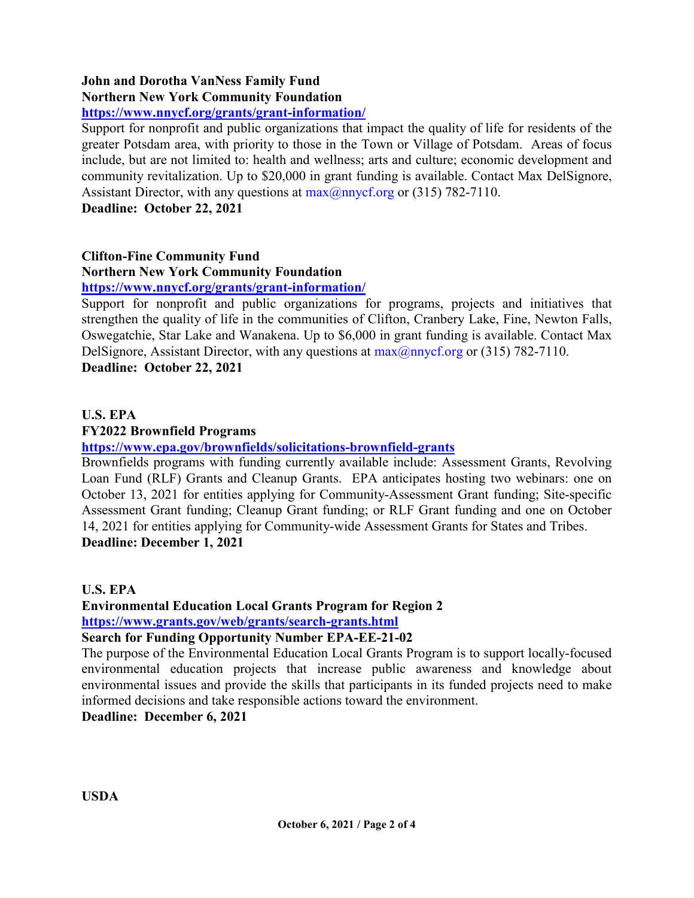## **John and Dorotha VanNess Family Fund Northern New York Community Foundation**

## **<https://www.nnycf.org/grants/grant-information/>**

Support for nonprofit and public organizations that impact the quality of life for residents of the greater Potsdam area, with priority to those in the Town or Village of Potsdam. Areas of focus include, but are not limited to: health and wellness; arts and culture; economic development and community revitalization. Up to \$20,000 in grant funding is available. Contact Max DelSignore, Assistant Director, with any questions at  $max(@nnycf.org$  or (315) 782-7110.

**Deadline: October 22, 2021**

## **Clifton-Fine Community Fund**

## **Northern New York Community Foundation**

## **<https://www.nnycf.org/grants/grant-information/>**

Support for nonprofit and public organizations for programs, projects and initiatives that strengthen the quality of life in the communities of Clifton, Cranbery Lake, Fine, Newton Falls, Oswegatchie, Star Lake and Wanakena. Up to \$6,000 in grant funding is available. Contact Max DelSignore, Assistant Director, with any questions at  $max(\hat{\omega})$  any cf.org or (315) 782-7110. **Deadline: October 22, 2021**

## **U.S. EPA**

### **FY2022 Brownfield Programs**

**<https://www.epa.gov/brownfields/solicitations-brownfield-grants>**

Brownfields programs with funding currently available include: Assessment Grants, Revolving Loan Fund (RLF) Grants and Cleanup Grants. EPA anticipates hosting two webinars: one on October 13, 2021 for entities applying for Community-Assessment Grant funding; Site-specific Assessment Grant funding; Cleanup Grant funding; or RLF Grant funding and one on October 14, 2021 for entities applying for Community-wide Assessment Grants for States and Tribes. **Deadline: December 1, 2021**

**U.S. EPA**

**Environmental Education Local Grants Program for Region 2 <https://www.grants.gov/web/grants/search-grants.html>**

**Search for Funding Opportunity Number EPA-EE-21-02**

The purpose of the Environmental Education Local Grants Program is to support locally-focused environmental education projects that increase public awareness and knowledge about environmental issues and provide the skills that participants in its funded projects need to make informed decisions and take responsible actions toward the environment.

**Deadline: December 6, 2021**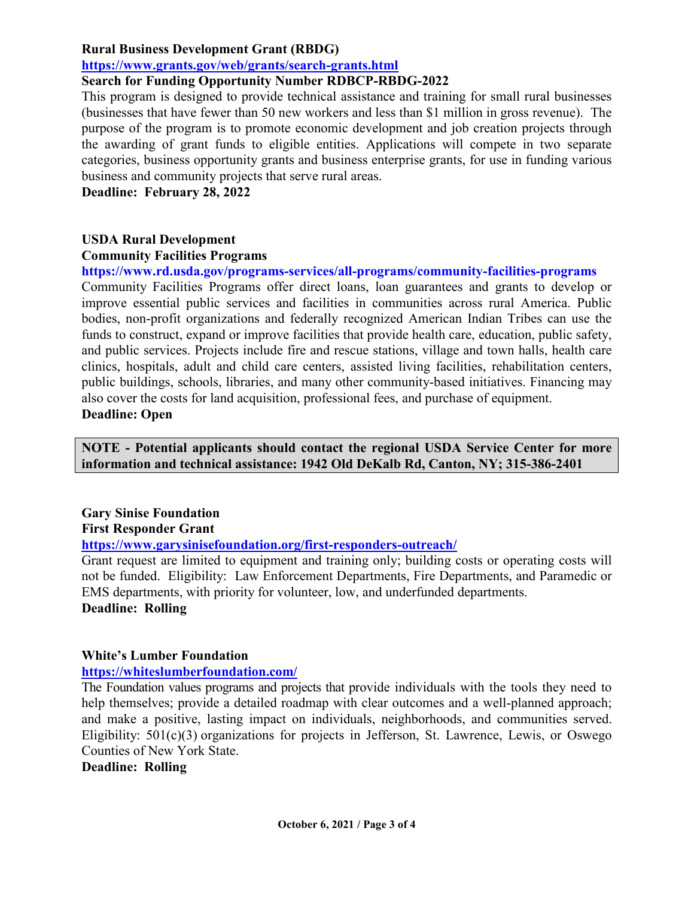### **Rural Business Development Grant (RBDG)**

### **<https://www.grants.gov/web/grants/search-grants.html>**

## **Search for Funding Opportunity Number RDBCP-RBDG-2022**

This program is designed to provide technical assistance and training for small rural businesses (businesses that have fewer than 50 new workers and less than \$1 million in gross revenue). The purpose of the program is to promote economic development and job creation projects through the awarding of grant funds to eligible entities. Applications will compete in two separate categories, business opportunity grants and business enterprise grants, for use in funding various business and community projects that serve rural areas.

**Deadline: February 28, 2022**

## **USDA Rural Development**

### **Community Facilities Programs**

**https://www.rd.usda.gov/programs-services/all-programs/community-facilities-programs** 

Community Facilities Programs offer direct loans, loan guarantees and grants to develop or improve essential public services and facilities in communities across rural America. Public bodies, non-profit organizations and federally recognized American Indian Tribes can use the funds to construct, expand or improve facilities that provide health care, education, public safety, and public services. Projects include fire and rescue stations, village and town halls, health care clinics, hospitals, adult and child care centers, assisted living facilities, rehabilitation centers, public buildings, schools, libraries, and many other community-based initiatives. Financing may also cover the costs for land acquisition, professional fees, and purchase of equipment. **Deadline: Open**

**NOTE - Potential applicants should contact the regional USDA Service Center for more information and technical assistance: 1942 Old DeKalb Rd, Canton, NY; 315-386-2401**

# **Gary Sinise Foundation**

## **First Responder Grant**

### **<https://www.garysinisefoundation.org/first-responders-outreach/>**

Grant request are limited to equipment and training only; building costs or operating costs will not be funded. Eligibility: Law Enforcement Departments, Fire Departments, and Paramedic or EMS departments, with priority for volunteer, low, and underfunded departments. **Deadline: Rolling**

### **White's Lumber Foundation**

### **<https://whiteslumberfoundation.com/>**

The Foundation values programs and projects that provide individuals with the tools they need to help themselves; provide a detailed roadmap with clear outcomes and a well-planned approach; and make a positive, lasting impact on individuals, neighborhoods, and communities served. Eligibility: 501(c)(3) organizations for projects in Jefferson, St. Lawrence, Lewis, or Oswego Counties of New York State.

### **Deadline: Rolling**